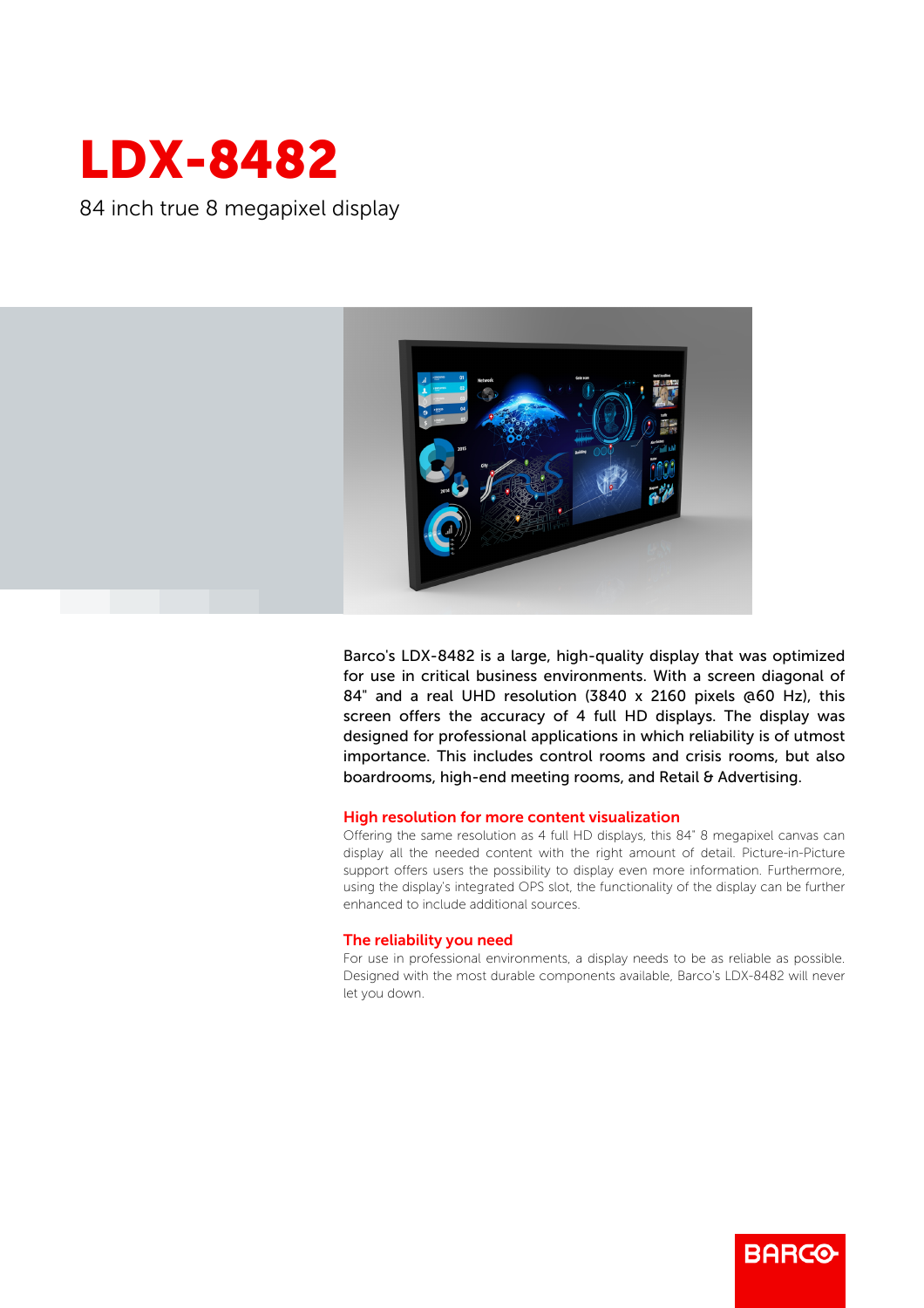

84 inch true 8 megapixel display



Barco's LDX-8482 is a large, high-quality display that was optimized for use in critical business environments. With a screen diagonal of 84" and a real UHD resolution (3840 x 2160 pixels @60 Hz), this screen offers the accuracy of 4 full HD displays. The display was designed for professional applications in which reliability is of utmost importance. This includes control rooms and crisis rooms, but also boardrooms, high-end meeting rooms, and Retail & Advertising.

## High resolution for more content visualization

Offering the same resolution as 4 full HD displays, this 84" 8 megapixel canvas can display all the needed content with the right amount of detail. Picture-in-Picture support offers users the possibility to display even more information. Furthermore, using the display's integrated OPS slot, the functionality of the display can be further enhanced to include additional sources.

## The reliability you need

For use in professional environments, a display needs to be as reliable as possible. Designed with the most durable components available, Barco's LDX-8482 will never let you down.

**BARGO**